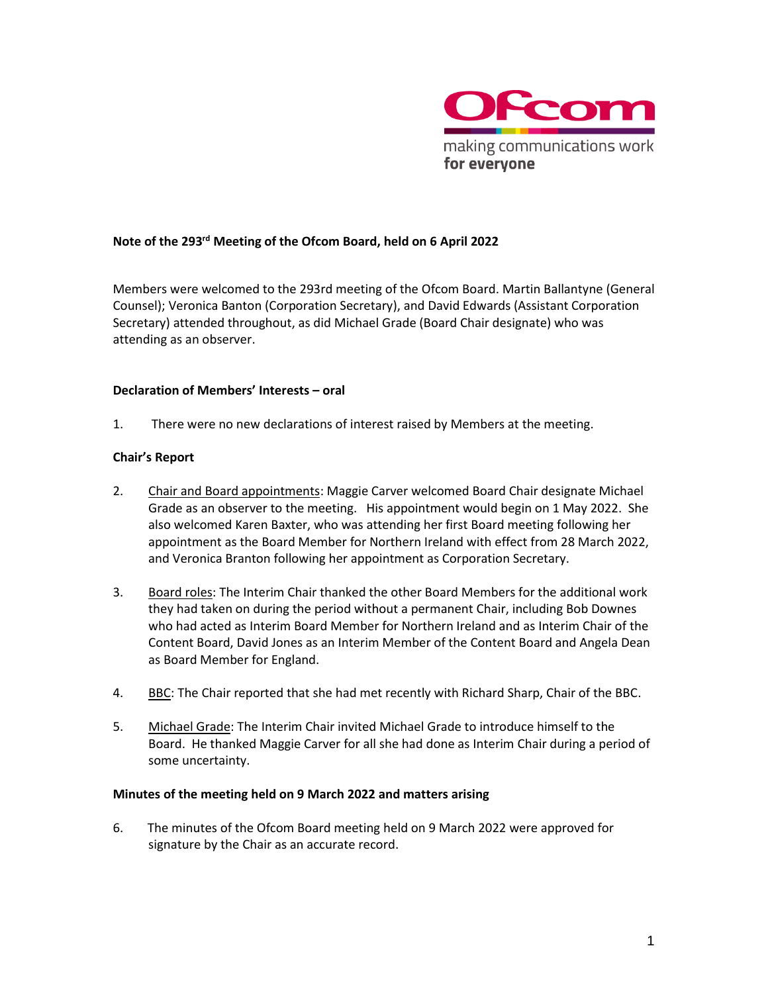

# **Note of the 293 rd Meeting of the Ofcom Board, held on 6 April 2022**

Members were welcomed to the 293rd meeting of the Ofcom Board. Martin Ballantyne (General Counsel); Veronica Banton (Corporation Secretary), and David Edwards (Assistant Corporation Secretary) attended throughout, as did Michael Grade (Board Chair designate) who was attending as an observer.

#### **Declaration of Members' Interests – oral**

1. There were no new declarations of interest raised by Members at the meeting.

#### **Chair's Report**

- 2. Chair and Board appointments: Maggie Carver welcomed Board Chair designate Michael Grade as an observer to the meeting. His appointment would begin on 1 May 2022. She also welcomed Karen Baxter, who was attending her first Board meeting following her appointment as the Board Member for Northern Ireland with effect from 28 March 2022, and Veronica Branton following her appointment as Corporation Secretary.
- 3. Board roles: The Interim Chair thanked the other Board Members for the additional work they had taken on during the period without a permanent Chair, including Bob Downes who had acted as Interim Board Member for Northern Ireland and as Interim Chair of the Content Board, David Jones as an Interim Member of the Content Board and Angela Dean as Board Member for England.
- 4. BBC: The Chair reported that she had met recently with Richard Sharp, Chair of the BBC.
- 5. Michael Grade: The Interim Chair invited Michael Grade to introduce himself to the Board. He thanked Maggie Carver for all she had done as Interim Chair during a period of some uncertainty.

#### **Minutes of the meeting held on 9 March 2022 and matters arising**

6. The minutes of the Ofcom Board meeting held on 9 March 2022 were approved for signature by the Chair as an accurate record.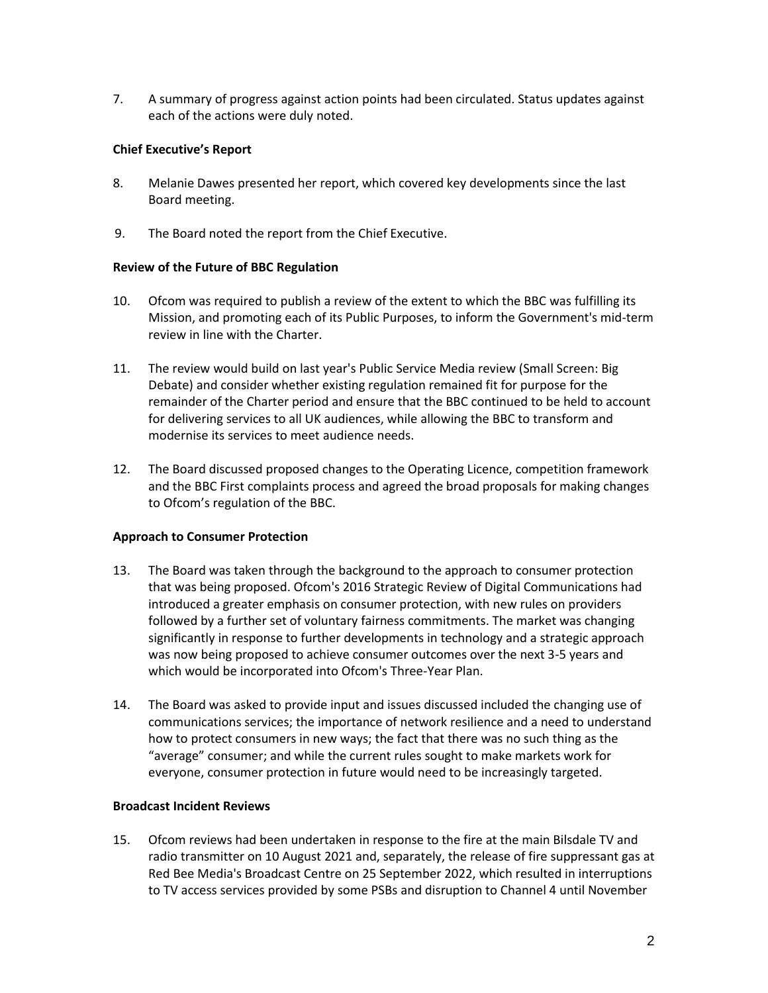7. A summary of progress against action points had been circulated. Status updates against each of the actions were duly noted.

## **Chief Executive's Report**

- 8. Melanie Dawes presented her report, which covered key developments since the last Board meeting.
- 9. The Board noted the report from the Chief Executive.

## **Review of the Future of BBC Regulation**

- 10. Ofcom was required to publish a review of the extent to which the BBC was fulfilling its Mission, and promoting each of its Public Purposes, to inform the Government's mid-term review in line with the Charter.
- 11. The review would build on last year's Public Service Media review (Small Screen: Big Debate) and consider whether existing regulation remained fit for purpose for the remainder of the Charter period and ensure that the BBC continued to be held to account for delivering services to all UK audiences, while allowing the BBC to transform and modernise its services to meet audience needs.
- 12. The Board discussed proposed changes to the Operating Licence, competition framework and the BBC First complaints process and agreed the broad proposals for making changes to Ofcom's regulation of the BBC.

# **Approach to Consumer Protection**

- 13. The Board was taken through the background to the approach to consumer protection that was being proposed. Ofcom's 2016 Strategic Review of Digital Communications had introduced a greater emphasis on consumer protection, with new rules on providers followed by a further set of voluntary fairness commitments. The market was changing significantly in response to further developments in technology and a strategic approach was now being proposed to achieve consumer outcomes over the next 3-5 years and which would be incorporated into Ofcom's Three-Year Plan.
- 14. The Board was asked to provide input and issues discussed included the changing use of communications services; the importance of network resilience and a need to understand how to protect consumers in new ways; the fact that there was no such thing as the "average" consumer; and while the current rules sought to make markets work for everyone, consumer protection in future would need to be increasingly targeted.

## **Broadcast Incident Reviews**

15. Ofcom reviews had been undertaken in response to the fire at the main Bilsdale TV and radio transmitter on 10 August 2021 and, separately, the release of fire suppressant gas at Red Bee Media's Broadcast Centre on 25 September 2022, which resulted in interruptions to TV access services provided by some PSBs and disruption to Channel 4 until November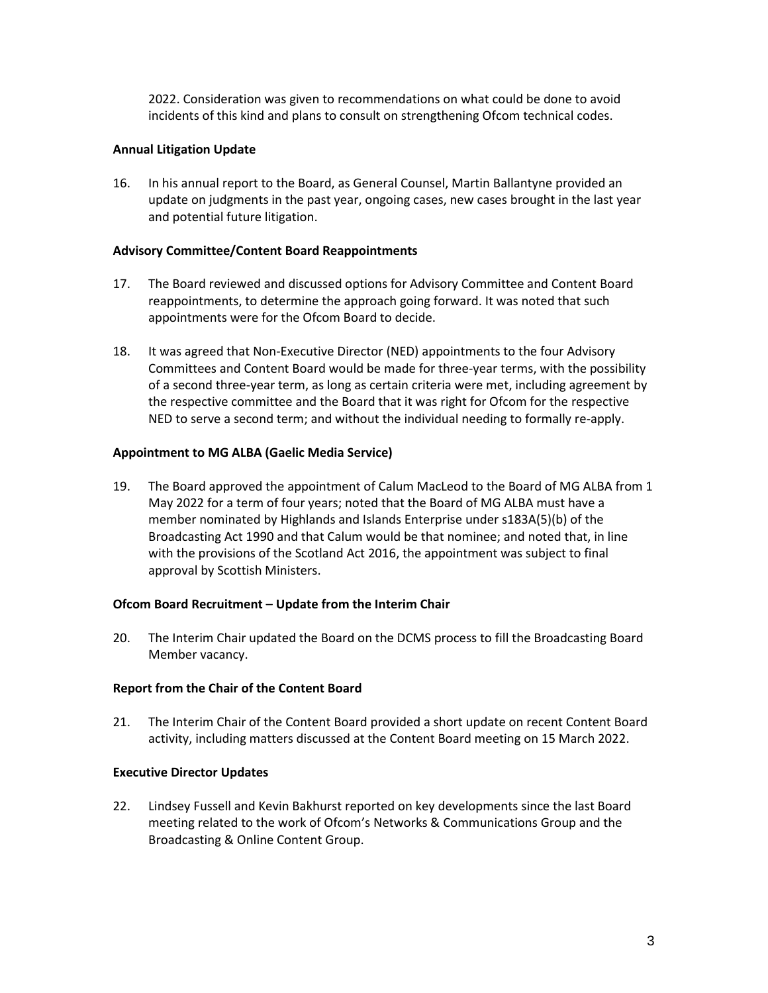2022. Consideration was given to recommendations on what could be done to avoid incidents of this kind and plans to consult on strengthening Ofcom technical codes.

## **Annual Litigation Update**

16. In his annual report to the Board, as General Counsel, Martin Ballantyne provided an update on judgments in the past year, ongoing cases, new cases brought in the last year and potential future litigation.

#### **Advisory Committee/Content Board Reappointments**

- 17. The Board reviewed and discussed options for Advisory Committee and Content Board reappointments, to determine the approach going forward. It was noted that such appointments were for the Ofcom Board to decide.
- 18. It was agreed that Non-Executive Director (NED) appointments to the four Advisory Committees and Content Board would be made for three-year terms, with the possibility of a second three-year term, as long as certain criteria were met, including agreement by the respective committee and the Board that it was right for Ofcom for the respective NED to serve a second term; and without the individual needing to formally re-apply.

#### **Appointment to MG ALBA (Gaelic Media Service)**

19. The Board approved the appointment of Calum MacLeod to the Board of MG ALBA from 1 May 2022 for a term of four years; noted that the Board of MG ALBA must have a member nominated by Highlands and Islands Enterprise under s183A(5)(b) of the Broadcasting Act 1990 and that Calum would be that nominee; and noted that, in line with the provisions of the Scotland Act 2016, the appointment was subject to final approval by Scottish Ministers.

## **Ofcom Board Recruitment – Update from the Interim Chair**

20. The Interim Chair updated the Board on the DCMS process to fill the Broadcasting Board Member vacancy.

#### **Report from the Chair of the Content Board**

21. The Interim Chair of the Content Board provided a short update on recent Content Board activity, including matters discussed at the Content Board meeting on 15 March 2022.

#### **Executive Director Updates**

22. Lindsey Fussell and Kevin Bakhurst reported on key developments since the last Board meeting related to the work of Ofcom's Networks & Communications Group and the Broadcasting & Online Content Group.